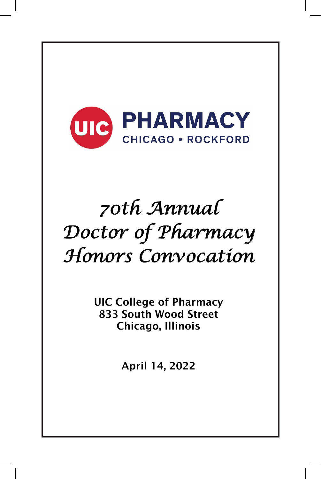

# 68th Annual *70th Annual*  Doctor of Pharmacy *Doctor of Pharmacy*  Honors Convocation *Honors Convocation*

UIC College of Pharmacy UIC College of Pharmacy 833 South Wood Street 833 South Wood Street Chicago, Illinois Chicago, Illinois

2020 April 14, 2022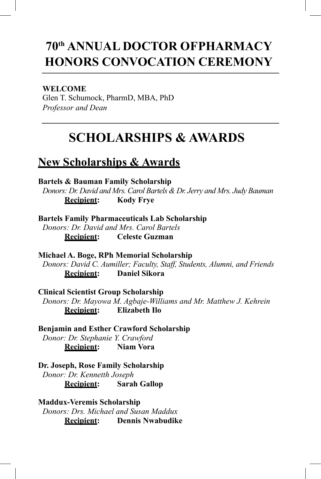## **70th ANNUAL DOCTOR OF PHARMACY HONORS CONVOCATION CEREMONY**

#### **WELCOME**

Glen T. Schumock, PharmD, MBA, PhD *Professor and Dean*

## **SCHOLARSHIPS & AWARDS**

### **New Scholarships & Awards**

#### **Bartels & Bauman Family Scholarship**

*Donors: Dr. David and Mrs. Carol Bartels & Dr. Jerry and Mrs. Judy Bauman* **Recipient: Kody Frye**

**Bartels Family Pharmaceuticals Lab Scholarship** *Donors: Dr. David and Mrs. Carol Bartels* **Recipient: Celeste Guzman**

**Michael A. Boge, RPh Memorial Scholarship** *Donors: David C. Aumiller; Faculty, Staff, Students, Alumni, and Friends* **Recipient: Daniel Sikora**

**Clinical Scientist Group Scholarship** *Donors: Dr. Mayowa M. Agbaje-Williams and Mr. Matthew J. Kehrein* **Recipient: Elizabeth Ilo**

**Benjamin and Esther Crawford Scholarship** *Donor: Dr. Stephanie Y. Crawford*  **Recipient: Niam Vora**

**Dr. Joseph, Rose Family Scholarship** *Donor: Dr. Kennetth Joseph*  **Recipient: Sarah Gallop**

**Maddux-Veremis Scholarship** *Donors: Drs. Michael and Susan Maddux* **Recipient: Dennis Nwabudike**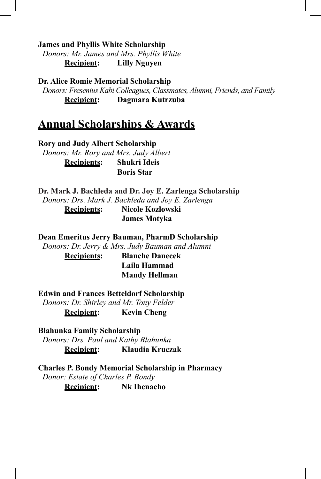**James and Phyllis White Scholarship**

*Donors: Mr. James and Mrs. Phyllis White* **Recipient: Lilly Nguyen**

**Dr. Alice Romie Memorial Scholarship** *Donors: Fresenius Kabi Colleagues, Classmates, Alumni, Friends, and Family* **Recipient: Dagmara Kutrzuba**

### **Annual Scholarships & Awards**

**Rory and Judy Albert Scholarship** *Donors: Mr. Rory and Mrs. Judy Albert* **Recipients: Shukri Ideis Boris Star**

**Dr. Mark J. Bachleda and Dr. Joy E. Zarlenga Scholarship** *Donors: Drs. Mark J. Bachleda and Joy E. Zarlenga* **Recipients: Nicole Kozlowski**

 **James Motyka**

**Dean Emeritus Jerry Bauman, PharmD Scholarship**

*Donors: Dr. Jerry & Mrs. Judy Bauman and Alumni*

**Recipients: Blanche Danecek Laila Hammad Mandy Hellman** 

**Edwin and Frances Betteldorf Scholarship**

*Donors: Dr. Shirley and Mr. Tony Felder* **Recipient: Kevin Cheng**

**Blahunka Family Scholarship** *Donors: Drs. Paul and Kathy Blahunka* **Recipient: Klaudia Kruczak**

**Charles P. Bondy Memorial Scholarship in Pharmacy** *Donor: Estate of Charles P. Bondy* **Recipient: Nk Ihenacho**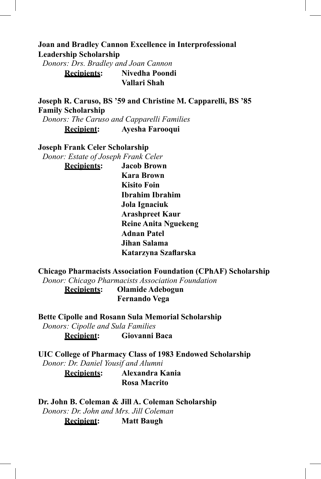#### **Joan and Bradley Cannon Excellence in Interprofessional Leadership Scholarship**

*Donors: Drs. Bradley and Joan Cannon* **Recipients: Nivedha Poondi**

 **Vallari Shah**

**Joseph R. Caruso, BS '59 and Christine M. Capparelli, BS '85 Family Scholarship**

*Donors: The Caruso and Capparelli Families* **Recipient: Ayesha Farooqui**

#### **Joseph Frank Celer Scholarship**

*Donor: Estate of Joseph Frank Celer* **Recipients: Jacob Brown Kara Brown Kisito Foin Ibrahim Ibrahim Jola Ignaciuk Arashpreet Kaur Reine Anita Nguekeng Adnan Patel Jihan Salama Katarzyna Szaflarska**

**Chicago Pharmacists Association Foundation (CPhAF) Scholarship**

*Donor: Chicago Pharmacists Association Foundation*

**Recipients: Olamide Adebogun Fernando Vega** 

**Bette Cipolle and Rosann Sula Memorial Scholarship**

*Donors: Cipolle and Sula Families*

**Recipient: Giovanni Baca**

**UIC College of Pharmacy Class of 1983 Endowed Scholarship** *Donor: Dr. Daniel Yousif and Alumni*

> **Recipients: Alexandra Kania Rosa Macrito**

**Dr. John B. Coleman & Jill A. Coleman Scholarship** *Donors: Dr. John and Mrs. Jill Coleman*

**Recipient: Matt Baugh**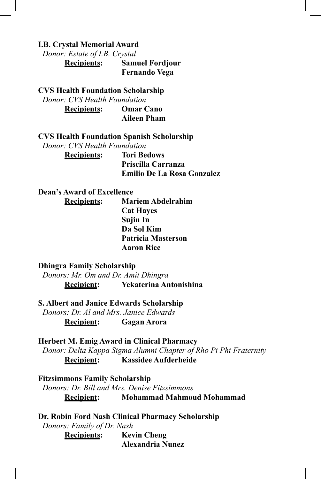#### **I.B. Crystal Memorial Award**

*Donor: Estate of I.B. Crystal*

**Recipients: Samuel Fordjour Fernando Vega**

#### **CVS Health Foundation Scholarship**

*Donor: CVS Health Foundation*

**Recipients: Omar Cano Aileen Pham**

**CVS Health Foundation Spanish Scholarship**

*Donor: CVS Health Foundation*

**Recipients: Tori Bedows Priscilla Carranza Emilio De La Rosa Gonzalez**

#### **Dean's Award of Excellence**

**Recipients: Mariem Abdelrahim Cat Hayes Sujin In Da Sol Kim Patricia Masterson Aaron Rice**

#### **Dhingra Family Scholarship**

*Donors: Mr. Om and Dr. Amit Dhingra* **Recipient: Yekaterina Antonishina**

**S. Albert and Janice Edwards Scholarship**

*Donors: Dr. Al and Mrs. Janice Edwards* **Recipient: Gagan Arora**

**Herbert M. Emig Award in Clinical Pharmacy**

*Donor: Delta Kappa Sigma Alumni Chapter of Rho Pi Phi Fraternity* **Recipient: Kassidee Aufderheide**

**Fitzsimmons Family Scholarship**

*Donors: Dr. Bill and Mrs. Denise Fitzsimmons* **Recipient: Mohammad Mahmoud Mohammad**

**Dr. Robin Ford Nash Clinical Pharmacy Scholarship** *Donors: Family of Dr. Nash*

> **Recipients: Kevin Cheng Alexandria Nunez**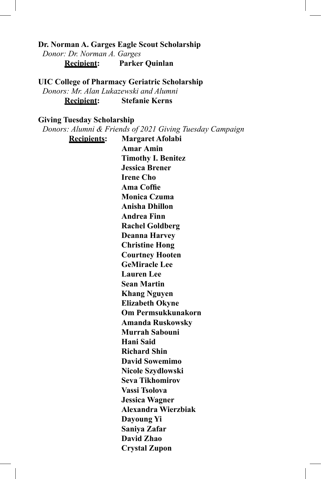#### **Dr. Norman A. Garges Eagle Scout Scholarship** *Donor: Dr. Norman A. Garges* **Recipient: Parker Quinlan**

#### **UIC College of Pharmacy Geriatric Scholarship**

*Donors: Mr. Alan Lukazewski and Alumni* **Recipient: Stefanie Kerns**

#### **Giving Tuesday Scholarship**

*Donors: Alumni & Friends of 2021 Giving Tuesday Campaign*

**Recipients: Margaret Afolabi Amar Amin Timothy I. Benitez Jessica Brener Irene Cho Ama Coffie Monica Czuma Anisha Dhillon Andrea Finn Rachel Goldberg Deanna Harvey Christine Hong Courtney Hooten GeMiracle Lee Lauren Lee Sean Martin Khang Nguyen Elizabeth Okyne Om Permsukkunakorn Amanda Ruskowsky Murrah Sabouni Hani Said Richard Shin David Sowemimo Nicole Szydlowski Seva Tikhomirov Vassi Tsolova Jessica Wagner Alexandra Wierzbiak Dayoung Yi Saniya Zafar David Zhao Crystal Zupon**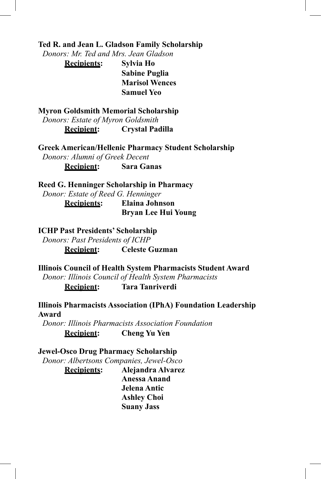**Ted R. and Jean L. Gladson Family Scholarship**

*Donors: Mr. Ted and Mrs. Jean Gladson*

**Recipients: Sylvia Ho Sabine Puglia Marisol Wences Samuel Yeo** 

**Myron Goldsmith Memorial Scholarship** *Donors: Estate of Myron Goldsmith* **Recipient: Crystal Padilla**

**Greek American/Hellenic Pharmacy Student Scholarship** *Donors: Alumni of Greek Decent* **Recipient: Sara Ganas**

**Reed G. Henninger Scholarship in Pharmacy**

*Donor: Estate of Reed G. Henninger* **Recipients: Elaina Johnson Bryan Lee Hui Young**

**ICHP Past Presidents' Scholarship**

*Donors: Past Presidents of ICHP*

**Recipient: Celeste Guzman**

**Illinois Council of Health System Pharmacists Student Award** *Donor: Illinois Council of Health System Pharmacists* **Recipient: Tara Tanriverdi**

**Illinois Pharmacists Association (IPhA) Foundation Leadership Award**

*Donor: Illinois Pharmacists Association Foundation* **Recipient: Cheng Yu Yen**

#### **Jewel-Osco Drug Pharmacy Scholarship**

*Donor: Albertsons Companies, Jewel-Osco*

**Recipients: Alejandra Alvarez Anessa Anand Jelena Antic Ashley Choi Suany Jass**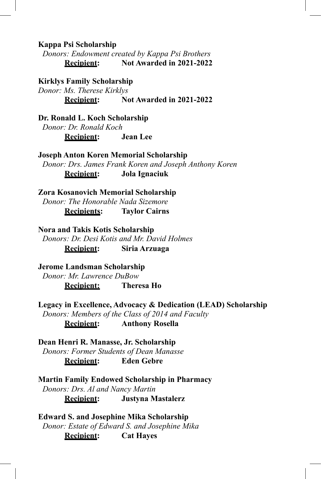**Kappa Psi Scholarship**

*Donors: Endowment created by Kappa Psi Brothers* **Recipient: Not Awarded in 2021-2022**

**Kirklys Family Scholarship**

*Donor: Ms. Therese Kirklys* **Recipient: Not Awarded in 2021-2022**

**Dr. Ronald L. Koch Scholarship** *Donor: Dr. Ronald Koch* **Recipient: Jean Lee**

**Joseph Anton Koren Memorial Scholarship** *Donor: Drs. James Frank Koren and Joseph Anthony Koren* **Recipient: Jola Ignaciuk**

**Zora Kosanovich Memorial Scholarship** *Donor: The Honorable Nada Sizemore* **Recipients: Taylor Cairns**

**Nora and Takis Kotis Scholarship** *Donors: Dr. Desi Kotis and Mr. David Holmes* **Recipient: Siria Arzuaga**

**Jerome Landsman Scholarship** *Donor: Mr. Lawrence DuBow* **Recipient: Theresa Ho**

**Legacy in Excellence, Advocacy & Dedication (LEAD) Scholarship** *Donors: Members of the Class of 2014 and Faculty*

**Recipient: Anthony Rosella**

**Dean Henri R. Manasse, Jr. Scholarship**

*Donors: Former Students of Dean Manasse*

**Recipient: Eden Gebre**

**Martin Family Endowed Scholarship in Pharmacy** *Donors: Drs. Al and Nancy Martin* **Recipient: Justyna Mastalerz**

**Edward S. and Josephine Mika Scholarship** *Donor: Estate of Edward S. and Josephine Mika* **Recipient: Cat Hayes**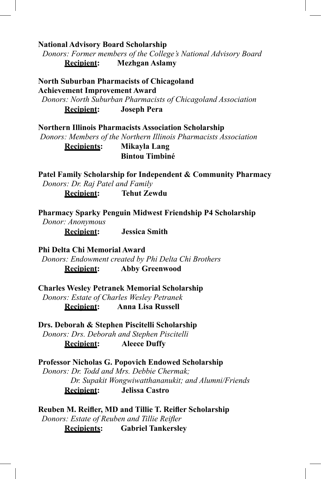**National Advisory Board Scholarship**

*Donors: Former members of the College's National Advisory Board* **Recipient: Mezhgan Aslamy**

**North Suburban Pharmacists of Chicagoland Achievement Improvement Award** *Donors: North Suburban Pharmacists of Chicagoland Association* **Recipient: Joseph Pera**

**Northern Illinois Pharmacists Association Scholarship**  *Donors: Members of the Northern Illinois Pharmacists Association* **Recipients: Mikayla Lang Bintou Timbiné**

**Patel Family Scholarship for Independent & Community Pharmacy** *Donors: Dr. Raj Patel and Family*

**Recipient: Tehut Zewdu**

**Pharmacy Sparky Penguin Midwest Friendship P4 Scholarship**

*Donor: Anonymous* **Recipient: Jessica Smith**

**Phi Delta Chi Memorial Award** *Donors: Endowment created by Phi Delta Chi Brothers*

**Recipient: Abby Greenwood**

**Charles Wesley Petranek Memorial Scholarship** *Donors: Estate of Charles Wesley Petranek* **Recipient: Anna Lisa Russell**

**Drs. Deborah & Stephen Piscitelli Scholarship** *Donors: Drs. Deborah and Stephen Piscitelli* **Recipient: Aleece Duffy**

**Professor Nicholas G. Popovich Endowed Scholarship** *Donors: Dr. Todd and Mrs. Debbie Chermak; Dr. Supakit Wongwiwatthananukit; and Alumni/Friends* **Recipient: Jelissa Castro**

**Reuben M. Reifler, MD and Tillie T. Reifler Scholarship** *Donors: Estate of Reuben and Tillie Reifler*

**Recipients: Gabriel Tankersley**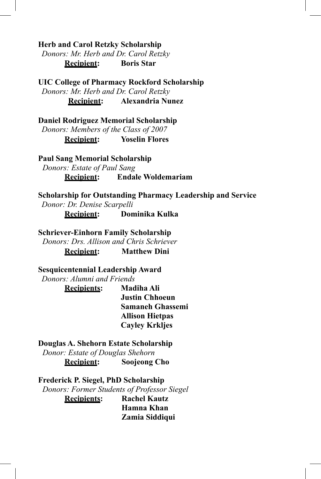**Herb and Carol Retzky Scholarship**

*Donors: Mr. Herb and Dr. Carol Retzky* **Recipient: Boris Star**

**UIC College of Pharmacy Rockford Scholarship** *Donors: Mr. Herb and Dr. Carol Retzky* **Recipient: Alexandria Nunez**

**Daniel Rodriguez Memorial Scholarship** *Donors: Members of the Class of 2007* **Recipient: Yoselin Flores**

**Paul Sang Memorial Scholarship** *Donors: Estate of Paul Sang* **Recipient: Endale Woldemariam**

**Scholarship for Outstanding Pharmacy Leadership and Service** *Donor: Dr. Denise Scarpelli*

**Recipient: Dominika Kulka**

#### **Schriever-Einhorn Family Scholarship**

*Donors: Drs. Allison and Chris Schriever* **Recipient: Matthew Dini**

**Sesquicentennial Leadership Award** *Donors: Alumni and Friends*

> **Recipients: Madiha Ali Justin Chhoeun Samaneh Ghassemi Allison Hietpas Cayley Krkljes**

**Douglas A. Shehorn Estate Scholarship**

*Donor: Estate of Douglas Shehorn*

**Recipient: Soojeong Cho**

**Frederick P. Siegel, PhD Scholarship**

*Donors: Former Students of Professor Siegel*

**Recipients: Rachel Kautz Hamna Khan Zamia Siddiqui**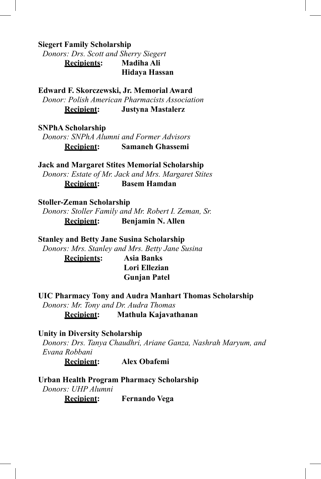**Siegert Family Scholarship**

*Donors: Drs. Scott and Sherry Siegert* **Recipients: Madiha Ali Hidaya Hassan**

**Edward F. Skorczewski, Jr. Memorial Award** *Donor: Polish American Pharmacists Association* **Recipient: Justyna Mastalerz**

**SNPhA Scholarship**

*Donors: SNPhA Alumni and Former Advisors* **Recipient: Samaneh Ghassemi**

**Jack and Margaret Stites Memorial Scholarship** *Donors: Estate of Mr. Jack and Mrs. Margaret Stites* **Recipient: Basem Hamdan**

#### **Stoller-Zeman Scholarship**

*Donors: Stoller Family and Mr. Robert I. Zeman, Sr.* **Recipient: Benjamin N. Allen**

**Stanley and Betty Jane Susina Scholarship** *Donors: Mrs. Stanley and Mrs. Betty Jane Susina*

**Recipients: Asia Banks Lori Ellezian Gunjan Patel**

**UIC Pharmacy Tony and Audra Manhart Thomas Scholarship**

*Donors: Mr. Tony and Dr. Audra Thomas*

**Recipient: Mathula Kajavathanan**

#### **Unity in Diversity Scholarship**

*Donors: Drs. Tanya Chaudhri, Ariane Ganza, Nashrah Maryum, and Evana Robbani* 

**Recipient: Alex Obafemi**

**Urban Health Program Pharmacy Scholarship** *Donors: UHP Alumni* **Recipient: Fernando Vega**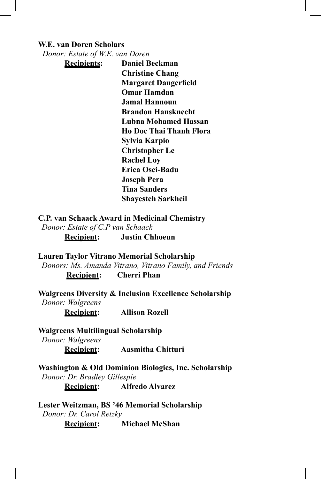#### **W.E. van Doren Scholars**

*Donor: Estate of W.E. van Doren*

**Recipients: Daniel Beckman Christine Chang Margaret Dangerfield Omar Hamdan Jamal Hannoun Brandon Hansknecht Lubna Mohamed Hassan Ho Doc Thai Thanh Flora Sylvia Karpio Christopher Le Rachel Loy Erica Osei-Badu Joseph Pera Tina Sanders Shayesteh Sarkheil**

**C.P. van Schaack Award in Medicinal Chemistry** *Donor: Estate of C.P van Schaack* **Recipient: Justin Chhoeun**

**Lauren Taylor Vitrano Memorial Scholarship**

*Donors: Ms. Amanda Vitrano, Vitrano Family, and Friends*

 **Recipient: Cherri Phan**

**Walgreens Diversity & Inclusion Excellence Scholarship** *Donor: Walgreens*

**Recipient: Allison Rozell**

**Walgreens Multilingual Scholarship** *Donor: Walgreens*

**Recipient: Aasmitha Chitturi**

**Washington & Old Dominion Biologics, Inc. Scholarship** *Donor: Dr. Bradley Gillespie* **Recipient: Alfredo Alvarez**

**Lester Weitzman, BS '46 Memorial Scholarship** *Donor: Dr. Carol Retzky* **Recipient: Michael McShan**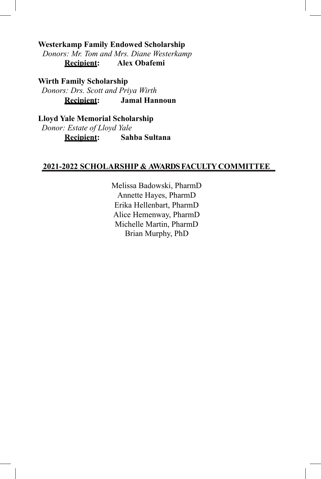**Westerkamp Family Endowed Scholarship**

*Donors: Mr. Tom and Mrs. Diane Westerkamp* **Recipient: Alex Obafemi**

**Wirth Family Scholarship** *Donors: Drs. Scott and Priya Wirth* **Recipient: Jamal Hannoun** 

**Lloyd Yale Memorial Scholarship** *Donor: Estate of Lloyd Yale* **Recipient: Sahba Sultana**

#### **2021-2022 SCHOLARSHIP & AWARDSFACULTY COMMITTEE**

Melissa Badowski, PharmD Annette Hayes, PharmD Erika Hellenbart, PharmD Alice Hemenway, PharmD Michelle Martin, PharmD Brian Murphy, PhD